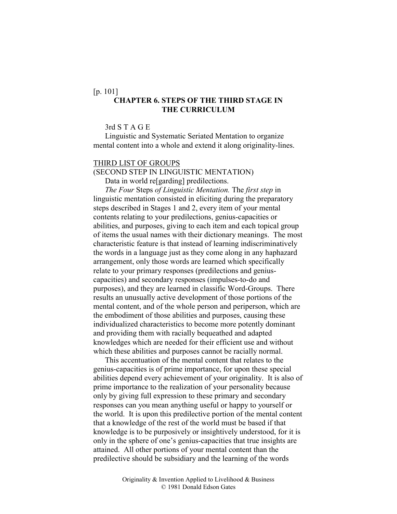### [p. 101]

# **CHAPTER 6. STEPS OF THE THIRD STAGE IN THE CURRICULUM**

### 3rd S T A G E

Linguistic and Systematic Seriated Mentation to organize mental content into a whole and extend it along originality-lines.

#### THIRD LIST OF GROUPS

### (SECOND STEP IN LINGUISTIC MENTATION)

Data in world re[garding] predilections.

*The Four* Steps *of Linguistic Mentation.* The *first step* in linguistic mentation consisted in eliciting during the preparatory steps described in Stages 1 and 2, every item of your mental contents relating to your predilections, genius-capacities or abilities, and purposes, giving to each item and each topical group of items the usual names with their dictionary meanings. The most characteristic feature is that instead of learning indiscriminatively the words in a language just as they come along in any haphazard arrangement, only those words are learned which specifically relate to your primary responses (predilections and geniuscapacities) and secondary responses (impulses-to-do and purposes), and they are learned in classific Word-Groups. There results an unusually active development of those portions of the mental content, and of the whole person and periperson, which are the embodiment of those abilities and purposes, causing these individualized characteristics to become more potently dominant and providing them with racially bequeathed and adapted knowledges which are needed for their efficient use and without which these abilities and purposes cannot be racially normal.

This accentuation of the mental content that relates to the genius-capacities is of prime importance, for upon these special abilities depend every achievement of your originality. It is also of prime importance to the realization of your personality because only by giving full expression to these primary and secondary responses can you mean anything useful or happy to yourself or the world. It is upon this predilective portion of the mental content that a knowledge of the rest of the world must be based if that knowledge is to be purposively or insightively understood, for it is only in the sphere of one's genius-capacities that true insights are attained. All other portions of your mental content than the predilective should be subsidiary and the learning of the words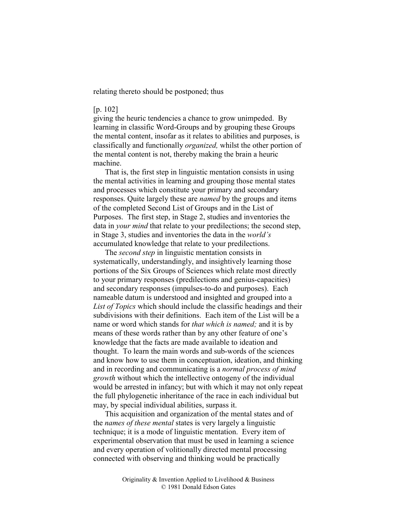relating thereto should be postponed; thus

#### [p. 102]

giving the heuric tendencies a chance to grow unimpeded. By learning in classific Word-Groups and by grouping these Groups the mental content, insofar as it relates to abilities and purposes, is classifically and functionally *organized,* whilst the other portion of the mental content is not, thereby making the brain a heuric machine.

That is, the first step in linguistic mentation consists in using the mental activities in learning and grouping those mental states and processes which constitute your primary and secondary responses. Quite largely these are *named* by the groups and items of the completed Second List of Groups and in the List of Purposes. The first step, in Stage 2, studies and inventories the data in *your mind* that relate to your predilections; the second step, in Stage 3, studies and inventories the data in the *world's*  accumulated knowledge that relate to your predilections.

The *second step* in linguistic mentation consists in systematically, understandingly, and insightively learning those portions of the Six Groups of Sciences which relate most directly to your primary responses (predilections and genius-capacities) and secondary responses (impulses-to-do and purposes). Each nameable datum is understood and insighted and grouped into a *List of Topics* which should include the classific headings and their subdivisions with their definitions. Each item of the List will be a name or word which stands for *that which is named;* and it is by means of these words rather than by any other feature of one's knowledge that the facts are made available to ideation and thought. To learn the main words and sub-words of the sciences and know how to use them in conceptuation, ideation, and thinking and in recording and communicating is a *normal process of mind growth* without which the intellective ontogeny of the individual would be arrested in infancy; but with which it may not only repeat the full phylogenetic inheritance of the race in each individual but may, by special individual abilities, surpass it.

This acquisition and organization of the mental states and of the *names of these mental* states is very largely a linguistic technique; it is a mode of linguistic mentation. Every item of experimental observation that must be used in learning a science and every operation of volitionally directed mental processing connected with observing and thinking would be practically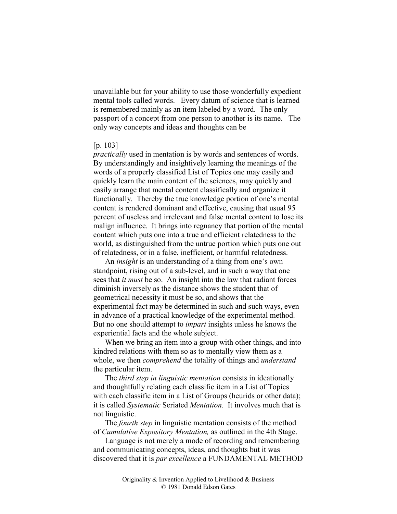unavailable but for your ability to use those wonderfully expedient mental tools called words. Every datum of science that is learned is remembered mainly as an item labeled by a word. The only passport of a concept from one person to another is its name. The only way concepts and ideas and thoughts can be

### [p. 103]

*practically* used in mentation is by words and sentences of words. By understandingly and insightively learning the meanings of the words of a properly classified List of Topics one may easily and quickly learn the main content of the sciences, may quickly and easily arrange that mental content classifically and organize it functionally. Thereby the true knowledge portion of one's mental content is rendered dominant and effective, causing that usual 95 percent of useless and irrelevant and false mental content to lose its malign influence. It brings into regnancy that portion of the mental content which puts one into a true and efficient relatedness to the world, as distinguished from the untrue portion which puts one out of relatedness, or in a false, inefficient, or harmful relatedness.

An *insight* is an understanding of a thing from one's own standpoint, rising out of a sub-level, and in such a way that one sees that *it must* be so. An insight into the law that radiant forces diminish inversely as the distance shows the student that of geometrical necessity it must be so, and shows that the experimental fact may be determined in such and such ways, even in advance of a practical knowledge of the experimental method. But no one should attempt to *impart* insights unless he knows the experiential facts and the whole subject.

When we bring an item into a group with other things, and into kindred relations with them so as to mentally view them as a whole, we then *comprehend* the totality of things and *understand*  the particular item.

The *third step in linguistic mentation* consists in ideationally and thoughtfully relating each classific item in a List of Topics with each classific item in a List of Groups (heurids or other data); it is called *Systematic* Seriated *Mentation.* It involves much that is not linguistic.

The *fourth step* in linguistic mentation consists of the method of *Cumulative Expository Mentation,* as outlined in the 4th Stage.

Language is not merely a mode of recording and remembering and communicating concepts, ideas, and thoughts but it was discovered that it is *par excellence* a FUNDAMENTAL METHOD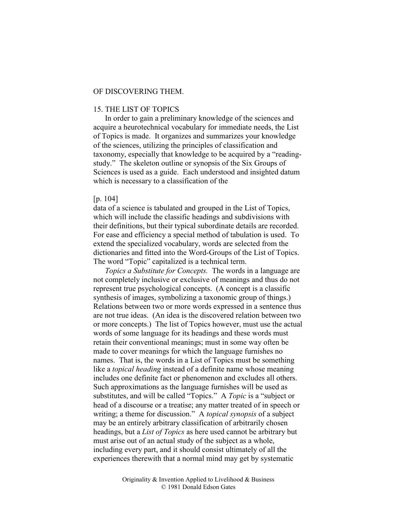#### OF DISCOVERING THEM.

### 15. THE LIST OF TOPICS

In order to gain a preliminary knowledge of the sciences and acquire a heurotechnical vocabulary for immediate needs, the List of Topics is made. It organizes and summarizes your knowledge of the sciences, utilizing the principles of classification and taxonomy, especially that knowledge to be acquired by a "readingstudy." The skeleton outline or synopsis of the Six Groups of Sciences is used as a guide. Each understood and insighted datum which is necessary to a classification of the

#### [p. 104]

data of a science is tabulated and grouped in the List of Topics, which will include the classific headings and subdivisions with their definitions, but their typical subordinate details are recorded. For ease and efficiency a special method of tabulation is used. To extend the specialized vocabulary, words are selected from the dictionaries and fitted into the Word-Groups of the List of Topics. The word "Topic" capitalized is a technical term.

*Topics a Substitute for Concepts.* The words in a language are not completely inclusive or exclusive of meanings and thus do not represent true psychological concepts. (A concept is a classific synthesis of images, symbolizing a taxonomic group of things.) Relations between two or more words expressed in a sentence thus are not true ideas. (An idea is the discovered relation between two or more concepts.) The list of Topics however, must use the actual words of some language for its headings and these words must retain their conventional meanings; must in some way often be made to cover meanings for which the language furnishes no names. That is, the words in a List of Topics must be something like a *topical heading* instead of a definite name whose meaning includes one definite fact or phenomenon and excludes all others. Such approximations as the language furnishes will be used as substitutes, and will be called "Topics." A *Topic* is a "subject or head of a discourse or a treatise; any matter treated of in speech or writing; a theme for discussion." A *topical synopsis* of a subject may be an entirely arbitrary classification of arbitrarily chosen headings, but a *List of Topics* as here used cannot be arbitrary but must arise out of an actual study of the subject as a whole, including every part, and it should consist ultimately of all the experiences therewith that a normal mind may get by systematic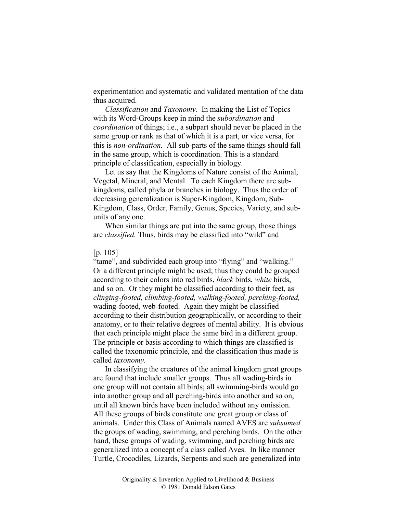experimentation and systematic and validated mentation of the data thus acquired.

*Classification* and *Taxonomy.* In making the List of Topics with its Word-Groups keep in mind the *subordination* and *coordination* of things; i.e., a subpart should never be placed in the same group or rank as that of which it is a part, or vice versa, for this is *non-ordination.* All sub-parts of the same things should fall in the same group, which is coordination. This is a standard principle of classification, especially in biology.

Let us say that the Kingdoms of Nature consist of the Animal, Vegetal, Mineral, and Mental. To each Kingdom there are subkingdoms, called phyla or branches in biology. Thus the order of decreasing generalization is Super-Kingdom, Kingdom, Sub-Kingdom, Class, Order, Family, Genus, Species, Variety, and subunits of any one.

When similar things are put into the same group, those things are *classified.* Thus, birds may be classified into "wild" and

#### [p. 105]

"tame", and subdivided each group into "flying" and "walking." Or a different principle might be used; thus they could be grouped according to their colors into red birds, *black* birds, *white* birds, and so on. Or they might be classified according to their feet, as *clinging-footed, climbing-footed, walking-footed, perching-footed,*  wading-footed, web-footed. Again they might be classified according to their distribution geographically, or according to their anatomy, or to their relative degrees of mental ability. It is obvious that each principle might place the same bird in a different group. The principle or basis according to which things are classified is called the taxonomic principle, and the classification thus made is called *taxonomy.* 

In classifying the creatures of the animal kingdom great groups are found that include smaller groups. Thus all wading-birds in one group will not contain all birds; all swimming-birds would go into another group and all perching-birds into another and so on, until all known birds have been included without any omission. All these groups of birds constitute one great group or class of animals. Under this Class of Animals named AVES are *subsumed*  the groups of wading, swimming, and perching birds. On the other hand, these groups of wading, swimming, and perching birds are generalized into a concept of a class called Aves. In like manner Turtle, Crocodiles, Lizards, Serpents and such are generalized into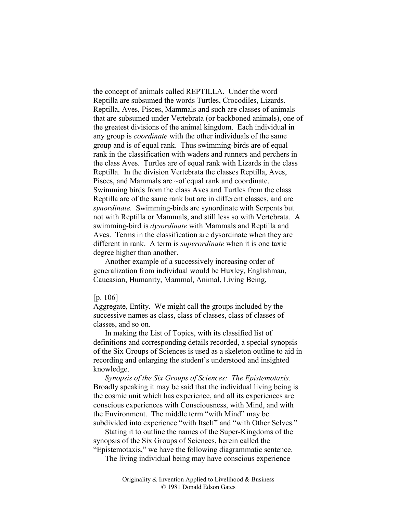the concept of animals called REPTILLA. Under the word Reptilla are subsumed the words Turtles, Crocodiles, Lizards. Reptilla, Aves, Pisces, Mammals and such are classes of animals that are subsumed under Vertebrata (or backboned animals), one of the greatest divisions of the animal kingdom. Each individual in any group is *coordinate* with the other individuals of the same group and is of equal rank. Thus swimming-birds are of equal rank in the classification with waders and runners and perchers in the class Aves. Turtles are of equal rank with Lizards in the class Reptilla. In the division Vertebrata the classes Reptilla, Aves, Pisces, and Mammals are ~of equal rank and coordinate. Swimming birds from the class Aves and Turtles from the class Reptilla are of the same rank but are in different classes, and are *synordinate.* Swimming-birds are synordinate with Serpents but not with Reptilla or Mammals, and still less so with Vertebrata. A swimming-bird is *dysordinate* with Mammals and Reptilla and Aves. Terms in the classification are dysordinate when they are different in rank. A term is *superordinate* when it is one taxic degree higher than another.

Another example of a successively increasing order of generalization from individual would be Huxley, Englishman, Caucasian, Humanity, Mammal, Animal, Living Being,

#### [p. 106]

Aggregate, Entity. We might call the groups included by the successive names as class, class of classes, class of classes of classes, and so on.

In making the List of Topics, with its classified list of definitions and corresponding details recorded, a special synopsis of the Six Groups of Sciences is used as a skeleton outline to aid in recording and enlarging the student's understood and insighted knowledge.

*Synopsis of the Six Groups of Sciences: The Epistemotaxis.*  Broadly speaking it may be said that the individual living being is the cosmic unit which has experience, and all its experiences are conscious experiences with Consciousness, with Mind, and with the Environment. The middle term "with Mind" may be subdivided into experience "with Itself" and "with Other Selves."

Stating it to outline the names of the Super-Kingdoms of the synopsis of the Six Groups of Sciences, herein called the "Epistemotaxis," we have the following diagrammatic sentence.

The living individual being may have conscious experience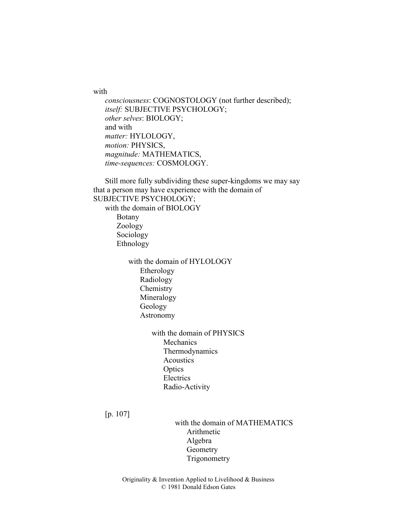with

*consciousness*: COGNOSTOLOGY (not further described); *itself:* SUBJECTIVE PSYCHOLOGY; *other selves*: BIOLOGY; and with *matter:* HYLOLOGY, *motion:* PHYSICS, *magnitude:* MATHEMATICS, *time-sequences:* COSMOLOGY.

Still more fully subdividing these super-kingdoms we may say that a person may have experience with the domain of SUBJECTIVE PSYCHOLOGY; with the domain of BIOLOGY Botany Zoology Sociology Ethnology with the domain of HYLOLOGY Etherology Radiology **Chemistry** Mineralogy

Geology Astronomy

> with the domain of PHYSICS **Mechanics** Thermodynamics Acoustics **Optics** Electrics Radio-Activity

[p. 107]

with the domain of MATHEMATICS Arithmetic Algebra Geometry Trigonometry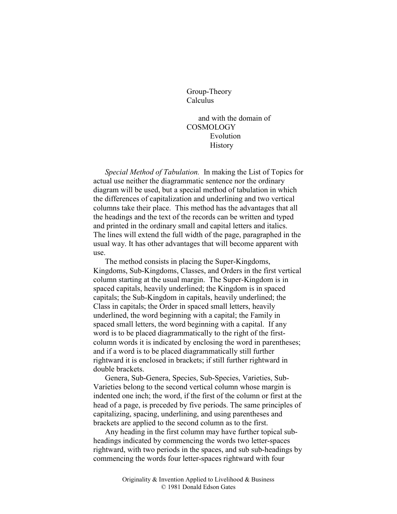Group-Theory Calculus

and with the domain of COSMOLOGY Evolution **History** 

*Special Method of Tabulation.* In making the List of Topics for actual use neither the diagrammatic sentence nor the ordinary diagram will be used, but a special method of tabulation in which the differences of capitalization and underlining and two vertical columns take their place. This method has the advantages that all the headings and the text of the records can be written and typed and printed in the ordinary small and capital letters and italics. The lines will extend the full width of the page, paragraphed in the usual way. It has other advantages that will become apparent with use.

The method consists in placing the Super-Kingdoms, Kingdoms, Sub-Kingdoms, Classes, and Orders in the first vertical column starting at the usual margin. The Super-Kingdom is in spaced capitals, heavily underlined; the Kingdom is in spaced capitals; the Sub-Kingdom in capitals, heavily underlined; the Class in capitals; the Order in spaced small letters, heavily underlined, the word beginning with a capital; the Family in spaced small letters, the word beginning with a capital. If any word is to be placed diagrammatically to the right of the firstcolumn words it is indicated by enclosing the word in parentheses; and if a word is to be placed diagrammatically still further rightward it is enclosed in brackets; if still further rightward in double brackets.

Genera, Sub-Genera, Species, Sub-Species, Varieties, Sub-Varieties belong to the second vertical column whose margin is indented one inch; the word, if the first of the column or first at the head of a page, is preceded by five periods. The same principles of capitalizing, spacing, underlining, and using parentheses and brackets are applied to the second column as to the first.

Any heading in the first column may have further topical subheadings indicated by commencing the words two letter-spaces rightward, with two periods in the spaces, and sub sub-headings by commencing the words four letter-spaces rightward with four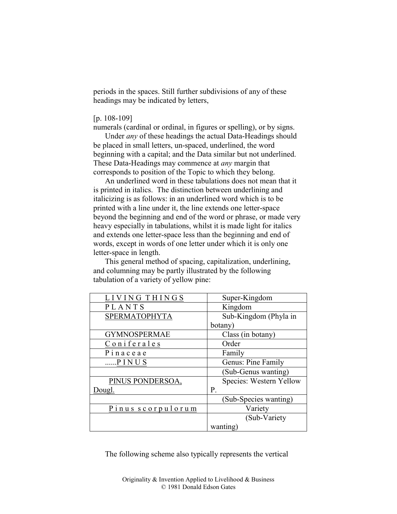periods in the spaces. Still further subdivisions of any of these headings may be indicated by letters,

## [p. 108-109]

numerals (cardinal or ordinal, in figures or spelling), or by signs.

Under *any* of these headings the actual Data-Headings should be placed in small letters, un-spaced, underlined, the word beginning with a capital; and the Data similar but not underlined. These Data-Headings may commence at *any* margin that corresponds to position of the Topic to which they belong.

An underlined word in these tabulations does not mean that it is printed in italics. The distinction between underlining and italicizing is as follows: in an underlined word which is to be printed with a line under it, the line extends one letter-space beyond the beginning and end of the word or phrase, or made very heavy especially in tabulations, whilst it is made light for italics and extends one letter-space less than the beginning and end of words, except in words of one letter under which it is only one letter-space in length.

This general method of spacing, capitalization, underlining, and columning may be partly illustrated by the following tabulation of a variety of yellow pine:

| LIVING THINGS            | Super-Kingdom           |  |  |
|--------------------------|-------------------------|--|--|
| PLANTS                   | Kingdom                 |  |  |
| SPERMATOPHYTA            | Sub-Kingdom (Phyla in   |  |  |
|                          | botany)                 |  |  |
| <b>GYMNOSPERMAE</b>      | Class (in botany)       |  |  |
| Coniferales              | Order                   |  |  |
| Pinaceae                 | Family                  |  |  |
| PINUS                    | Genus: Pine Family      |  |  |
|                          | (Sub-Genus wanting)     |  |  |
| PINUS PONDERSOA,         | Species: Western Yellow |  |  |
| Dougl.                   | P.                      |  |  |
|                          | (Sub-Species wanting)   |  |  |
| <u>Pinus scorpulorum</u> | Variety                 |  |  |
|                          | (Sub-Variety            |  |  |
|                          | wanting)                |  |  |

The following scheme also typically represents the vertical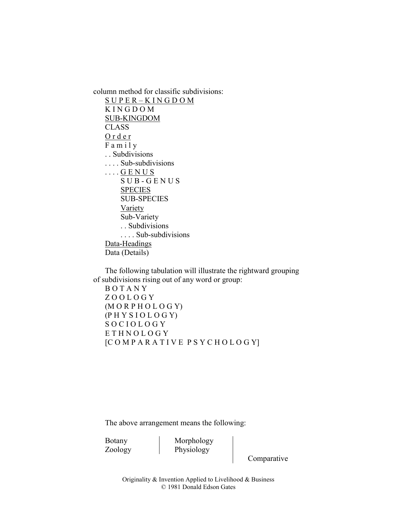column method for classific subdivisions: S U P E R – K I N G D O M K I N G D O M SUB-KINGDOM CLASS O r d e r F a m i l y . . Subdivisions . . . . Sub-subdivisions . . . . G E N U S S U B - G E N U S **SPECIES**  SUB-SPECIES Variety Sub-Variety . . Subdivisions . . . . Sub-subdivisions Data-Headings Data (Details)

The following tabulation will illustrate the rightward grouping of subdivisions rising out of any word or group:

```
B O T A N Y 
Z O O L O G Y 
(M O R P H O L O G Y)(P H Y S I O L O G Y)S O C I O L O G Y
ETHNOLOGY
[C O M P A R A T I V E P S Y C H O L O G Y]
```
The above arrangement means the following:

Botany Morphology Zoology Physiology

Comparative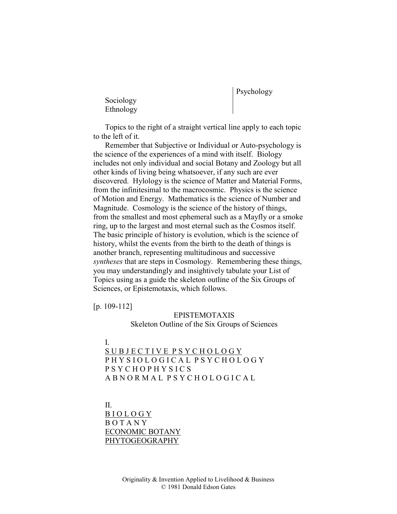Psychology

Sociology Ethnology

Topics to the right of a straight vertical line apply to each topic to the left of it.

Remember that Subjective or Individual or Auto-psychology is the science of the experiences of a mind with itself. Biology includes not only individual and social Botany and Zoology but all other kinds of living being whatsoever, if any such are ever discovered. Hylology is the science of Matter and Material Forms, from the infinitesimal to the macrocosmic. Physics is the science of Motion and Energy. Mathematics is the science of Number and Magnitude. Cosmology is the science of the history of things, from the smallest and most ephemeral such as a Mayfly or a smoke ring, up to the largest and most eternal such as the Cosmos itself. The basic principle of history is evolution, which is the science of history, whilst the events from the birth to the death of things is another branch, representing multitudinous and successive *syntheses* that are steps in Cosmology. Remembering these things, you may understandingly and insightively tabulate your List of Topics using as a guide the skeleton outline of the Six Groups of Sciences, or Epistemotaxis, which follows.

[p. 109-112]

# EPISTEMOTAXIS Skeleton Outline of the Six Groups of Sciences

I. SUBJECTIVE PSYCHOLOGY PHYSIOLOGICAL PSYCHOLOGY P S Y C H O P H Y S I C S A B N O R M A L P S Y C H O L O G I C A L

II. **BIOLOGY** B O T A N Y ECONOMIC BOTANY PHYTOGEOGRAPHY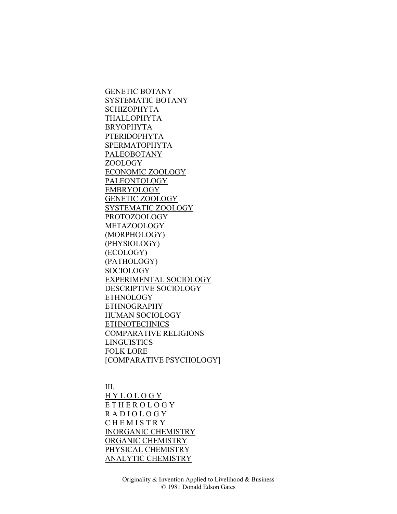GENETIC BOTANY SYSTEMATIC BOTANY SCHIZOPHYTA THALLOPHYTA BRYOPHYTA PTERIDOPHYTA SPERMATOPHYTA PALEOBOTANY ZOOLOGY ECONOMIC ZOOLOGY PALEONTOLOGY EMBRYOLOGY GENETIC ZOOLOGY SYSTEMATIC ZOOLOGY PROTOZOOLOGY METAZOOLOGY (MORPHOLOGY) (PHYSIOLOGY) (ECOLOGY) (PATHOLOGY) SOCIOLOGY EXPERIMENTAL SOCIOLOGY DESCRIPTIVE SOCIOLOGY ETHNOLOGY **ETHNOGRAPHY** HUMAN SOCIOLOGY **ETHNOTECHNICS** COMPARATIVE RELIGIONS **LINGUISTICS** FOLK LORE [COMPARATIVE PSYCHOLOGY]

III.

H Y L O L O G Y E T H E R O L O G Y R A D I O L O G Y C H E M I S T R Y INORGANIC CHEMISTRY ORGANIC CHEMISTRY PHYSICAL CHEMISTRY ANALYTIC CHEMISTRY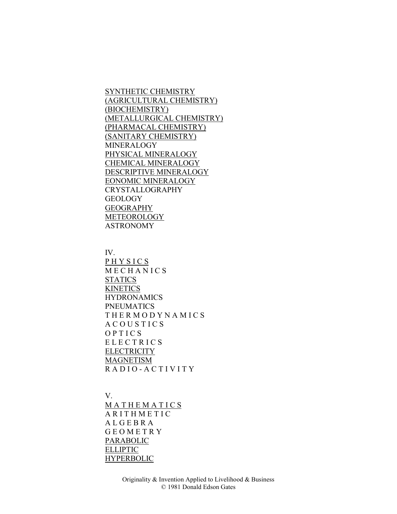SYNTHETIC CHEMISTRY (AGRICULTURAL CHEMISTRY) (BIOCHEMISTRY) (METALLURGICAL CHEMISTRY) (PHARMACAL CHEMISTRY) (SANITARY CHEMISTRY) MINERALOGY PHYSICAL MINERALOGY CHEMICAL MINERALOGY DESCRIPTIVE MINERALOGY EONOMIC MINERALOGY CRYSTALLOGRAPHY GEOLOGY GEOGRAPHY METEOROLOGY ASTRONOMY

IV.

PHYSICS **MECHANICS STATICS KINETICS HYDRONAMICS** PNEUMATICS T H E R M O D Y N A M I C S A C O U S T I C S **OPTICS ELECTRICS ELECTRICITY** MAGNETISM R A D I O - A C T I V I T Y

V.

**MATHEMATICS ARITHMETIC** A L G E B R A G E O M E T R Y PARABOLIC ELLIPTIC **HYPERBOLIC**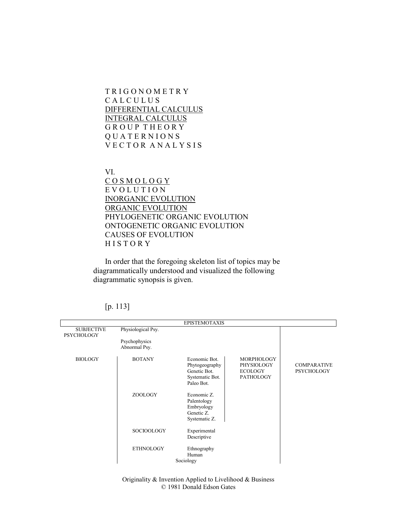T R I G O N O M E T R Y C A L C U L U S DIFFERENTIAL CALCULUS INTEGRAL CALCULUS G R O U P T H E O R Y Q U A T E R N I O N S V E C T O R A N A L Y S I S

#### VI.

C O S M O L O G Y E V O L U T I O N INORGANIC EVOLUTION ORGANIC EVOLUTION PHYLOGENETIC ORGANIC EVOLUTION ONTOGENETIC ORGANIC EVOLUTION CAUSES OF EVOLUTION **HISTORY** 

In order that the foregoing skeleton list of topics may be diagrammatically understood and visualized the following diagrammatic synopsis is given.

| <b>SUBJECTIVE</b><br><b>PSYCHOLOGY</b> | Physiological Psy.             |                                                                                  |                                                                       |                                         |
|----------------------------------------|--------------------------------|----------------------------------------------------------------------------------|-----------------------------------------------------------------------|-----------------------------------------|
|                                        | Psychophysics<br>Abnormal Psy. |                                                                                  |                                                                       |                                         |
| <b>BIOLOGY</b>                         | <b>BOTANY</b>                  | Economic Bot.<br>Phytogeography<br>Genetic Bot.<br>Systematic Bot.<br>Paleo Bot. | <b>MORPHOLOGY</b><br>PHYSIOLOGY<br><b>ECOLOGY</b><br><b>PATHOLOGY</b> | <b>COMPARATIVE</b><br><b>PSYCHOLOGY</b> |
|                                        | ZOOLOGY                        | Economic Z.<br>Palentology<br>Embryology<br>Genetic Z.<br>Systematic Z.          |                                                                       |                                         |
|                                        | SOCIOOLOGY                     | Experimental<br>Descriptive                                                      |                                                                       |                                         |
|                                        | <b>ETHNOLOGY</b>               | Ethnography<br>Human<br>Sociology                                                |                                                                       |                                         |

[p. 113]

Originality & Invention Applied to Livelihood & Business © 1981 Donald Edson Gates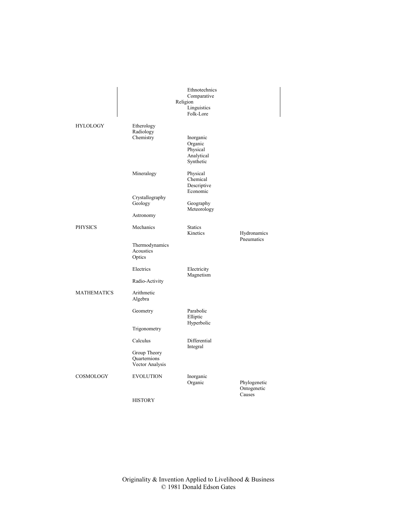|                    |                                                 | Ethnotechnics<br>Comparative                                |                                       |
|--------------------|-------------------------------------------------|-------------------------------------------------------------|---------------------------------------|
|                    |                                                 | Religion<br>Linguistics<br>Folk-Lore                        |                                       |
| <b>HYLOLOGY</b>    | Etherology<br>Radiology<br>Chemistry            | Inorganic<br>Organic<br>Physical<br>Analytical<br>Synthetic |                                       |
|                    | Mineralogy                                      | Physical<br>Chemical<br>Descriptive<br>Economic             |                                       |
|                    | Crystallography<br>Geology<br>Astronomy         | Geography<br>Meteorology                                    |                                       |
| <b>PHYSICS</b>     | Mechanics                                       | <b>Statics</b><br>Kinetics                                  | Hydronamics<br>Pneumatics             |
|                    | Thermodynamics<br>Acoustics<br>Optics           |                                                             |                                       |
|                    | Electrics<br>Radio-Activity                     | Electricity<br>Magnetism                                    |                                       |
| <b>MATHEMATICS</b> | Arithmetic<br>Algebra                           |                                                             |                                       |
|                    | Geometry                                        | Parabolic<br>Elliptic<br>Hyperbolic                         |                                       |
|                    | Trigonometry                                    |                                                             |                                       |
|                    | Calculus                                        | Differential<br>Integral                                    |                                       |
|                    | Group Theory<br>Quarternions<br>Vector Analysis |                                                             |                                       |
| COSMOLOGY          | <b>EVOLUTION</b>                                | Inorganic<br>Organic                                        | Phylogenetic<br>Ontogenetic<br>Causes |
|                    |                                                 |                                                             |                                       |

HISTORY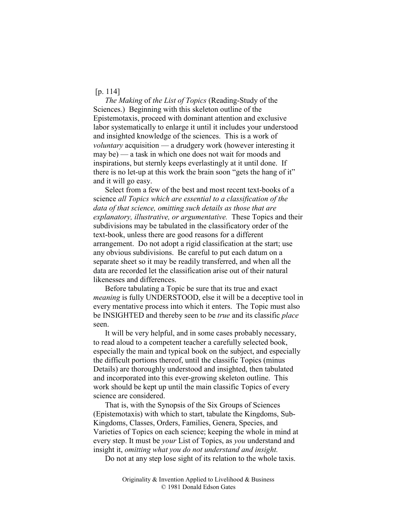## [p. 114]

*The Making* of *the List of Topics* (Reading-Study of the Sciences.) Beginning with this skeleton outline of the Epistemotaxis, proceed with dominant attention and exclusive labor systematically to enlarge it until it includes your understood and insighted knowledge of the sciences. This is a work of *voluntary* acquisition — a drudgery work (however interesting it may be) — a task in which one does not wait for moods and inspirations, but sternly keeps everlastingly at it until done. If there is no let-up at this work the brain soon "gets the hang of it" and it will go easy.

Select from a few of the best and most recent text-books of a science *all Topics which are essential to a classification of the data of that science, omitting such details as those that are explanatory, illustrative, or argumentative.* These Topics and their subdivisions may be tabulated in the classificatory order of the text-book, unless there are good reasons for a different arrangement. Do not adopt a rigid classification at the start; use any obvious subdivisions. Be careful to put each datum on a separate sheet so it may be readily transferred, and when all the data are recorded let the classification arise out of their natural likenesses and differences.

Before tabulating a Topic be sure that its true and exact *meaning* is fully UNDERSTOOD, else it will be a deceptive tool in every mentative process into which it enters. The Topic must also be INSIGHTED and thereby seen to be *true* and its classific *place*  seen.

It will be very helpful, and in some cases probably necessary, to read aloud to a competent teacher a carefully selected book, especially the main and typical book on the subject, and especially the difficult portions thereof, until the classific Topics (minus Details) are thoroughly understood and insighted, then tabulated and incorporated into this ever-growing skeleton outline. This work should be kept up until the main classific Topics of every science are considered.

That is, with the Synopsis of the Six Groups of Sciences (Epistemotaxis) with which to start, tabulate the Kingdoms, Sub-Kingdoms, Classes, Orders, Families, Genera, Species, and Varieties of Topics on each science; keeping the whole in mind at every step. It must be *your* List of Topics, as *you* understand and insight it, *omitting what you do not understand and insight.* 

Do not at any step lose sight of its relation to the whole taxis.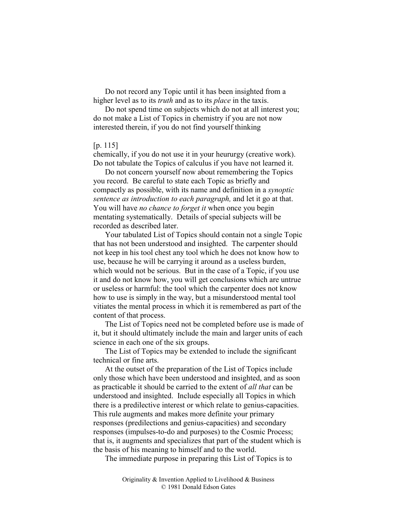Do not record any Topic until it has been insighted from a higher level as to its *truth* and as to its *place* in the taxis.

Do not spend time on subjects which do not at all interest you; do not make a List of Topics in chemistry if you are not now interested therein, if you do not find yourself thinking

### [p. 115]

chemically, if you do not use it in your heururgy (creative work). Do not tabulate the Topics of calculus if you have not learned it.

Do not concern yourself now about remembering the Topics you record. Be careful to state each Topic as briefly and compactly as possible, with its name and definition in a *synoptic sentence as introduction to each paragraph,* and let it go at that. You will have *no chance to forget it* when once you begin mentating systematically. Details of special subjects will be recorded as described later.

Your tabulated List of Topics should contain not a single Topic that has not been understood and insighted. The carpenter should not keep in his tool chest any tool which he does not know how to use, because he will be carrying it around as a useless burden, which would not be serious. But in the case of a Topic, if you use it and do not know how, you will get conclusions which are untrue or useless or harmful: the tool which the carpenter does not know how to use is simply in the way, but a misunderstood mental tool vitiates the mental process in which it is remembered as part of the content of that process.

The List of Topics need not be completed before use is made of it, but it should ultimately include the main and larger units of each science in each one of the six groups.

The List of Topics may be extended to include the significant technical or fine arts.

At the outset of the preparation of the List of Topics include only those which have been understood and insighted, and as soon as practicable it should be carried to the extent of *all that* can be understood and insighted. Include especially all Topics in which there is a predilective interest or which relate to genius-capacities. This rule augments and makes more definite your primary responses (predilections and genius-capacities) and secondary responses (impulses-to-do and purposes) to the Cosmic Process; that is, it augments and specializes that part of the student which is the basis of his meaning to himself and to the world.

The immediate purpose in preparing this List of Topics is to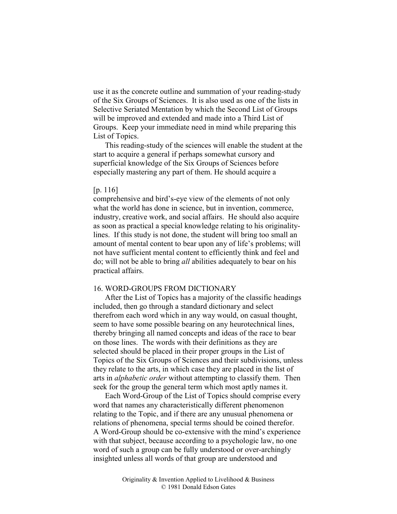use it as the concrete outline and summation of your reading-study of the Six Groups of Sciences. It is also used as one of the lists in Selective Seriated Mentation by which the Second List of Groups will be improved and extended and made into a Third List of Groups. Keep your immediate need in mind while preparing this List of Topics.

This reading-study of the sciences will enable the student at the start to acquire a general if perhaps somewhat cursory and superficial knowledge of the Six Groups of Sciences before especially mastering any part of them. He should acquire a

#### [p. 116]

comprehensive and bird's-eye view of the elements of not only what the world has done in science, but in invention, commerce, industry, creative work, and social affairs. He should also acquire as soon as practical a special knowledge relating to his originalitylines. If this study is not done, the student will bring too small an amount of mental content to bear upon any of life's problems; will not have sufficient mental content to efficiently think and feel and do; will not be able to bring *all* abilities adequately to bear on his practical affairs.

### 16. WORD-GROUPS FROM DICTIONARY

After the List of Topics has a majority of the classific headings included, then go through a standard dictionary and select therefrom each word which in any way would, on casual thought, seem to have some possible bearing on any heurotechnical lines, thereby bringing all named concepts and ideas of the race to bear on those lines. The words with their definitions as they are selected should be placed in their proper groups in the List of Topics of the Six Groups of Sciences and their subdivisions, unless they relate to the arts, in which case they are placed in the list of arts in *alphabetic order* without attempting to classify them. Then seek for the group the general term which most aptly names it.

Each Word-Group of the List of Topics should comprise every word that names any characteristically different phenomenon relating to the Topic, and if there are any unusual phenomena or relations of phenomena, special terms should be coined therefor. A Word-Group should be co-extensive with the mind's experience with that subject, because according to a psychologic law, no one word of such a group can be fully understood or over-archingly insighted unless all words of that group are understood and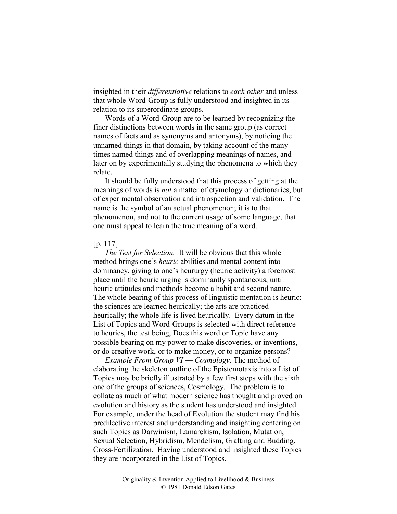insighted in their *differentiative* relations to *each other* and unless that whole Word-Group is fully understood and insighted in its relation to its superordinate groups.

Words of a Word-Group are to be learned by recognizing the finer distinctions between words in the same group (as correct names of facts and as synonyms and antonyms), by noticing the unnamed things in that domain, by taking account of the manytimes named things and of overlapping meanings of names, and later on by experimentally studying the phenomena to which they relate.

It should be fully understood that this process of getting at the meanings of words is *not* a matter of etymology or dictionaries, but of experimental observation and introspection and validation. The name is the symbol of an actual phenomenon; it is to that phenomenon, and not to the current usage of some language, that one must appeal to learn the true meaning of a word.

### [p. 117]

*The Test for Selection.* It will be obvious that this whole method brings one's *heuric* abilities and mental content into dominancy, giving to one's heururgy (heuric activity) a foremost place until the heuric urging is dominantly spontaneous, until heuric attitudes and methods become a habit and second nature. The whole bearing of this process of linguistic mentation is heuric: the sciences are learned heurically; the arts are practiced heurically; the whole life is lived heurically. Every datum in the List of Topics and Word-Groups is selected with direct reference to heurics, the test being, Does this word or Topic have any possible bearing on my power to make discoveries, or inventions, or do creative work, or to make money, or to organize persons?

*Example From Group VI* — *Cosmology.* The method of elaborating the skeleton outline of the Epistemotaxis into a List of Topics may be briefly illustrated by a few first steps with the sixth one of the groups of sciences, Cosmology. The problem is to collate as much of what modern science has thought and proved on evolution and history as the student has understood and insighted. For example, under the head of Evolution the student may find his predilective interest and understanding and insighting centering on such Topics as Darwinism, Lamarckism, Isolation, Mutation, Sexual Selection, Hybridism, Mendelism, Grafting and Budding, Cross-Fertilization. Having understood and insighted these Topics they are incorporated in the List of Topics.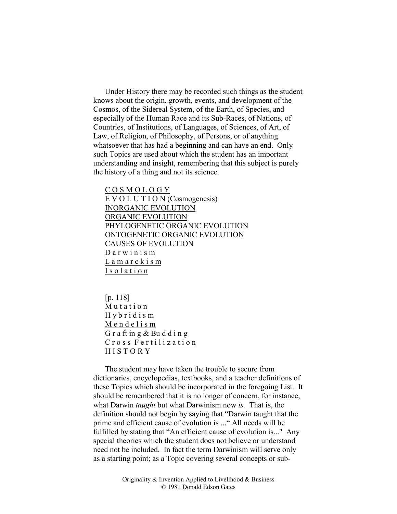Under History there may be recorded such things as the student knows about the origin, growth, events, and development of the Cosmos, of the Sidereal System, of the Earth, of Species, and especially of the Human Race and its Sub-Races, of Nations, of Countries, of Institutions, of Languages, of Sciences, of Art, of Law, of Religion, of Philosophy, of Persons, or of anything whatsoever that has had a beginning and can have an end. Only such Topics are used about which the student has an important understanding and insight, remembering that this subject is purely the history of a thing and not its science.

COSMOLOGY E V O L U T I O N (Cosmogenesis) INORGANIC EVOLUTION ORGANIC EVOLUTION PHYLOGENETIC ORGANIC EVOLUTION ONTOGENETIC ORGANIC EVOLUTION CAUSES OF EVOLUTION  $D$  a r w i n i s m L a m a r c k i s m I s o l a t i o n

[p. 118] Mutation  $H v b r i d i s m$ M e n d e l i s m G r a ft in g  $&$  Bu d d i n g Cross Fertilization **HISTORY** 

The student may have taken the trouble to secure from dictionaries, encyclopedias, textbooks, and a teacher definitions of these Topics which should be incorporated in the foregoing List. It should be remembered that it is no longer of concern, for instance, what Darwin *taught* but what Darwinism now *is.* That is, the definition should not begin by saying that "Darwin taught that the prime and efficient cause of evolution is ..." All needs will be fulfilled by stating that "An efficient cause of evolution is..." Any special theories which the student does not believe or understand need not be included. In fact the term Darwinism will serve only as a starting point; as a Topic covering several concepts or sub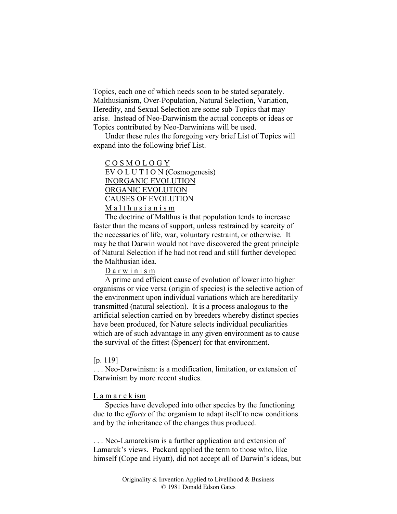Topics, each one of which needs soon to be stated separately. Malthusianism, Over-Population, Natural Selection, Variation, Heredity, and Sexual Selection are some sub-Topics that may arise. Instead of Neo-Darwinism the actual concepts or ideas or Topics contributed by Neo-Darwinians will be used.

Under these rules the foregoing very brief List of Topics will expand into the following brief List.

C O S M O L O G Y EV O L U T I O N (Cosmogenesis) INORGANIC EVOLUTION ORGANIC EVOLUTION CAUSES OF EVOLUTION Malthusianism

The doctrine of Malthus is that population tends to increase faster than the means of support, unless restrained by scarcity of the necessaries of life, war, voluntary restraint, or otherwise. It may be that Darwin would not have discovered the great principle of Natural Selection if he had not read and still further developed the Malthusian idea.

D a r w i n i s m

A prime and efficient cause of evolution of lower into higher organisms or vice versa (origin of species) is the selective action of the environment upon individual variations which are hereditarily transmitted (natural selection). It is a process analogous to the artificial selection carried on by breeders whereby distinct species have been produced, for Nature selects individual peculiarities which are of such advantage in any given environment as to cause the survival of the fittest (Spencer) for that environment.

## [p. 119]

. . . Neo-Darwinism: is a modification, limitation, or extension of Darwinism by more recent studies.

## L a m a r c k ism

Species have developed into other species by the functioning due to the *efforts* of the organism to adapt itself to new conditions and by the inheritance of the changes thus produced.

. . . Neo-Lamarckism is a further application and extension of Lamarck's views. Packard applied the term to those who, like himself (Cope and Hyatt), did not accept all of Darwin's ideas, but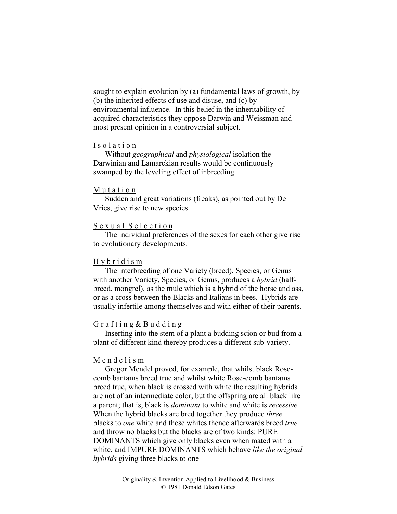sought to explain evolution by (a) fundamental laws of growth, by (b) the inherited effects of use and disuse, and (c) by environmental influence. In this belief in the inheritability of acquired characteristics they oppose Darwin and Weissman and most present opinion in a controversial subject.

### I s o l a t i o n

Without *geographical* and *physiological* isolation the Darwinian and Lamarckian results would be continuously swamped by the leveling effect of inbreeding.

### M u t a t i o n

Sudden and great variations (freaks), as pointed out by De Vries, give rise to new species.

## Sexual Selection

The individual preferences of the sexes for each other give rise to evolutionary developments.

### H y b r i d i s m

The interbreeding of one Variety (breed), Species, or Genus with another Variety, Species, or Genus, produces a *hybrid* (halfbreed, mongrel), as the mule which is a hybrid of the horse and ass, or as a cross between the Blacks and Italians in bees. Hybrids are usually infertile among themselves and with either of their parents.

### Grafting  $& B$  udding

Inserting into the stem of a plant a budding scion or bud from a plant of different kind thereby produces a different sub-variety.

### M e n d e l i s m

Gregor Mendel proved, for example, that whilst black Rosecomb bantams breed true and whilst white Rose-comb bantams breed true, when black is crossed with white the resulting hybrids are not of an intermediate color, but the offspring are all black like a parent; that is, black is *dominant* to white and white is *recessive.*  When the hybrid blacks are bred together they produce *three*  blacks to *one* white and these whites thence afterwards breed *true*  and throw no blacks but the blacks are of two kinds: PURE DOMINANTS which give only blacks even when mated with a white, and IMPURE DOMINANTS which behave *like the original hybrids* giving three blacks to one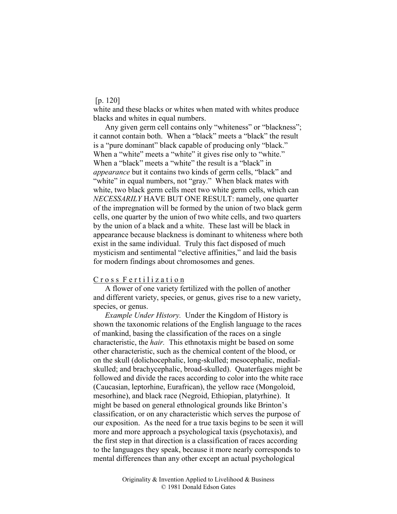### [p. 120]

white and these blacks or whites when mated with whites produce blacks and whites in equal numbers.

Any given germ cell contains only "whiteness" or "blackness"; it cannot contain both. When a "black" meets a "black" the result is a "pure dominant" black capable of producing only "black." When a "white" meets a "white" it gives rise only to "white." When a "black" meets a "white" the result is a "black" in *appearance* but it contains two kinds of germ cells, "black" and "white" in equal numbers, not "gray." When black mates with white, two black germ cells meet two white germ cells, which can *NECESSARILY* HAVE BUT ONE RESULT: namely, one quarter of the impregnation will be formed by the union of two black germ cells, one quarter by the union of two white cells, and two quarters by the union of a black and a white. These last will be black in appearance because blackness is dominant to whiteness where both exist in the same individual. Truly this fact disposed of much mysticism and sentimental "elective affinities," and laid the basis for modern findings about chromosomes and genes.

## Cross Fertilization

A flower of one variety fertilized with the pollen of another and different variety, species, or genus, gives rise to a new variety, species, or genus.

*Example Under History.* Under the Kingdom of History is shown the taxonomic relations of the English language to the races of mankind, basing the classification of the races on a single characteristic, the *hair.* This ethnotaxis might be based on some other characteristic, such as the chemical content of the blood, or on the skull (dolichocephalic, long-skulled; mesocephalic, medialskulled; and brachycephalic, broad-skulled). Quaterfages might be followed and divide the races according to color into the white race (Caucasian, leptorhine, Eurafrican), the yellow race (Mongoloid, mesorhine), and black race (Negroid, Ethiopian, platyrhine). It might be based on general ethnological grounds like Brinton's classification, or on any characteristic which serves the purpose of our exposition. As the need for a true taxis begins to be seen it will more and more approach a psychological taxis (psychotaxis), and the first step in that direction is a classification of races according to the languages they speak, because it more nearly corresponds to mental differences than any other except an actual psychological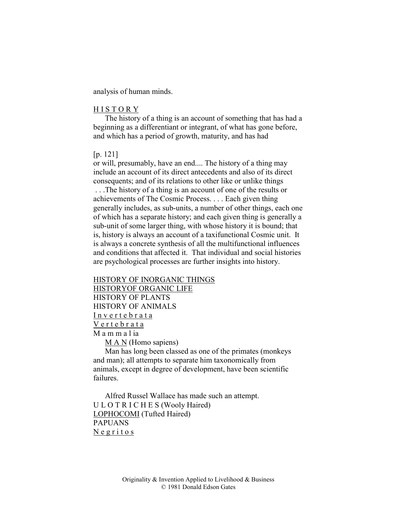analysis of human minds.

### H I S T O R Y

The history of a thing is an account of something that has had a beginning as a differentiant or integrant, of what has gone before, and which has a period of growth, maturity, and has had

## [p. 121]

or will, presumably, have an end.... The history of a thing may include an account of its direct antecedents and also of its direct consequents; and of its relations to other like or unlike things

 . . .The history of a thing is an account of one of the results or achievements of The Cosmic Process. . . . Each given thing generally includes, as sub-units, a number of other things, each one of which has a separate history; and each given thing is generally a sub-unit of some larger thing, with whose history it is bound; that is, history is always an account of a taxifunctional Cosmic unit. It is always a concrete synthesis of all the multifunctional influences and conditions that affected it. That individual and social histories are psychological processes are further insights into history.

# HISTORY OF INORGANIC THINGS HISTORYOF ORGANIC LIFE HISTORY OF PLANTS HISTORY OF ANIMALS Invertebrata V e r t e b r a t a M a m m a l ia

M A N (Homo sapiens)

Man has long been classed as one of the primates (monkeys and man); all attempts to separate him taxonomically from animals, except in degree of development, have been scientific failures.

Alfred Russel Wallace has made such an attempt. U L O T R I C H E S (Wooly Haired) LOPHOCOMI (Tufted Haired) PAPUANS N e g r i t o s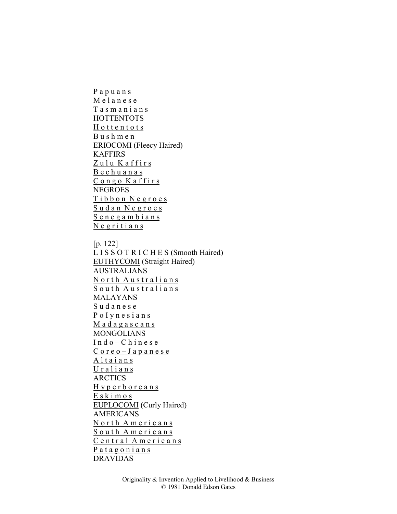P a p u a n s M e l a n e s e Tasmanians **HOTTENTOTS** Hottentots B u s h m e n ERIOCOMI (Fleecy Haired) **KAFFIRS** Zulu Kaffirs B e c h u a n a s Congo Kaffirs **NEGROES** Tibbon Negroes Sudan Negroes  $S$  e n e g a m b i a n s Negritians

[p. 122] L I S S O T R I C H E S (Smooth Haired) EUTHYCOMI (Straight Haired) AUSTRALIANS North Australians South Australians MALAYANS S u d a n e s e P o I y n e s i a n s M a d a g a s c a n s **MONGOLIANS**  $Indo$  – Chinese  $Cores - Ja$  p a n e s e A l t a i a n s U r a l i a n s **ARCTICS** H y p e r b o r e a n s  $E$  s  $k$  i m o s EUPLOCOMI (Curly Haired) AMERICANS North Americans South Americans C entral Americans P a t a g o n i a n s DRAVIDAS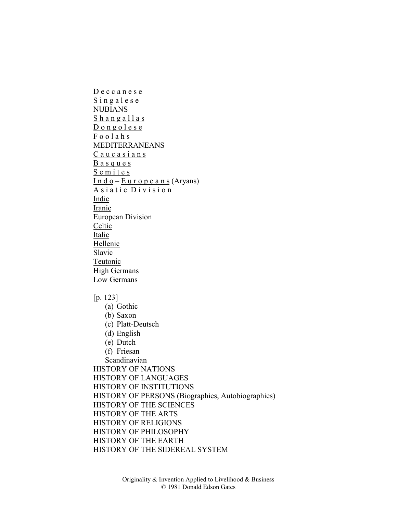D e c c a n e s e S i n g a l e s e NUBIANS S h a n g a l l a s  $D$  o n g o l e s e F o o l a h s MEDITERRANEANS Caucasians B a s q u e s S e m i t e s  $I$ n d o – E u r o p e a n s (Aryans) A siatic Division Indic Iranic European Division Celtic Italic Hellenic Slavic Teutonic High Germans Low Germans

[p. 123]

- (a) Gothic
- (b) Saxon
- (c) Platt-Deutsch
- (d) English
- (e) Dutch
- (f) Friesan

Scandinavian

HISTORY OF NATIONS HISTORY OF LANGUAGES HISTORY OF INSTITUTIONS HISTORY OF PERSONS (Biographies, Autobiographies) HISTORY OF THE SCIENCES HISTORY OF THE ARTS HISTORY OF RELIGIONS HISTORY OF PHILOSOPHY HISTORY OF THE EARTH HISTORY OF THE SIDEREAL SYSTEM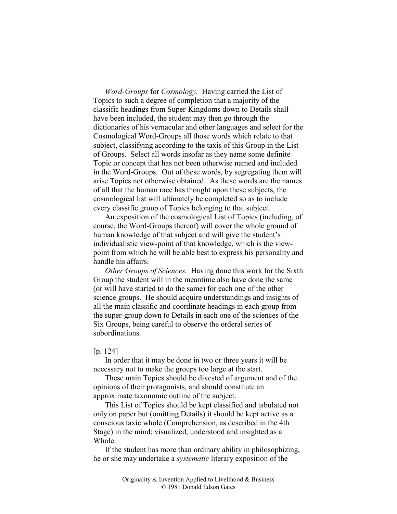*Word-Groups* for *Cosmology.* Having carried the List of Topics to such a degree of completion that a majority of the classific headings from Super-Kingdoms down to Details shall have been included, the student may then go through the dictionaries of his vernacular and other languages and select for the Cosmological Word-Groups all those words which relate to that subject, classifying according to the taxis of this Group in the List of Groups. Select all words insofar as they name some definite Topic or concept that has not been otherwise named and included in the Word-Groups. Out of these words, by segregating them will arise Topics not otherwise obtained. As these words are the names of all that the human race has thought upon these subjects, the cosmological list will ultimately be completed so as to include every classific group of Topics belonging to that subject.

An exposition of the cosmological List of Topics (including, of course, the Word-Groups thereof) will cover the whole ground of human knowledge of that subject and will give the student's individualistic view-point of that knowledge, which is the viewpoint from which he will be able best to express his personality and handle his affairs.

*Other Groups of Sciences.* Having done this work for the Sixth Group the student will in the meantime also have done the same (or will have started to do the same) for each one of the other science groups. He should acquire understandings and insights of all the main classific and coordinate headings in each group from the super-group down to Details in each one of the sciences of the Six Groups, being careful to observe the orderal series of subordinations.

### [p. 124]

In order that it may be done in two or three years it will be necessary not to make the groups too large at the start.

These main Topics should be divested of argument and of the opinions of their protagonists, and should constitute an approximate taxonomic outline of the subject.

This List of Topics should be kept classified and tabulated not only on paper but (omitting Details) it should be kept active as a conscious taxic whole (Comprehension, as described in the 4th Stage) in the mind; visualized, understood and insighted as a Whole.

If the student has more than ordinary ability in philosophizing, he or she may undertake a *systematic* literary exposition of the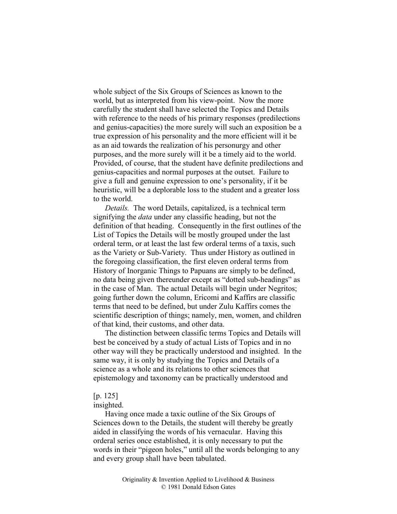whole subject of the Six Groups of Sciences as known to the world, but as interpreted from his view-point. Now the more carefully the student shall have selected the Topics and Details with reference to the needs of his primary responses (predilections and genius-capacities) the more surely will such an exposition be a true expression of his personality and the more efficient will it be as an aid towards the realization of his personurgy and other purposes, and the more surely will it be a timely aid to the world. Provided, of course, that the student have definite predilections and genius-capacities and normal purposes at the outset. Failure to give a full and genuine expression to one's personality, if it be heuristic, will be a deplorable loss to the student and a greater loss to the world.

*Details.* The word Details, capitalized, is a technical term signifying the *data* under any classific heading, but not the definition of that heading. Consequently in the first outlines of the List of Topics the Details will be mostly grouped under the last orderal term, or at least the last few orderal terms of a taxis, such as the Variety or Sub-Variety. Thus under History as outlined in the foregoing classification, the first eleven orderal terms from History of Inorganic Things to Papuans are simply to be defined, no data being given thereunder except as "dotted sub-headings" as in the case of Man. The actual Details will begin under Negritos; going further down the column, Ericomi and Kaffirs are classific terms that need to be defined, but under Zulu Kaffirs comes the scientific description of things; namely, men, women, and children of that kind, their customs, and other data.

The distinction between classific terms Topics and Details will best be conceived by a study of actual Lists of Topics and in no other way will they be practically understood and insighted. In the same way, it is only by studying the Topics and Details of a science as a whole and its relations to other sciences that epistemology and taxonomy can be practically understood and

## [p. 125]

## insighted.

Having once made a taxic outline of the Six Groups of Sciences down to the Details, the student will thereby be greatly aided in classifying the words of his vernacular. Having this orderal series once established, it is only necessary to put the words in their "pigeon holes," until all the words belonging to any and every group shall have been tabulated.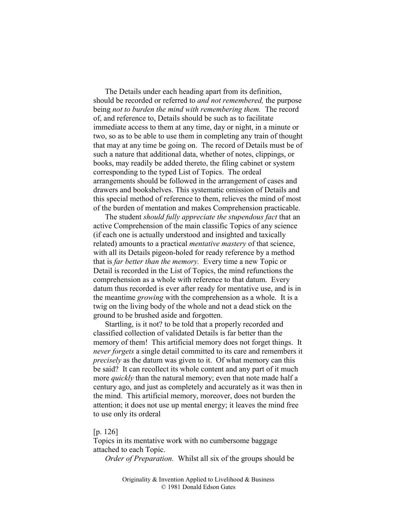The Details under each heading apart from its definition, should be recorded or referred to *and not remembered,* the purpose being *not to burden the mind with remembering them.* The record of, and reference to, Details should be such as to facilitate immediate access to them at any time, day or night, in a minute or two, so as to be able to use them in completing any train of thought that may at any time be going on. The record of Details must be of such a nature that additional data, whether of notes, clippings, or books, may readily be added thereto, the filing cabinet or system corresponding to the typed List of Topics. The ordeal arrangements should be followed in the arrangement of cases and drawers and bookshelves. This systematic omission of Details and this special method of reference to them, relieves the mind of most of the burden of mentation and makes Comprehension practicable.

The student *should fully appreciate the stupendous fact* that an active Comprehension of the main classific Topics of any science (if each one is actually understood and insighted and taxically related) amounts to a practical *mentative mastery* of that science, with all its Details pigeon-holed for ready reference by a method that is *far better than the memory.* Every time a new Topic or Detail is recorded in the List of Topics, the mind refunctions the comprehension as a whole with reference to that datum. Every datum thus recorded is ever after ready for mentative use, and is in the meantime *growing* with the comprehension as a whole. It is a twig on the living body of the whole and not a dead stick on the ground to be brushed aside and forgotten.

Startling, is it not? to be told that a properly recorded and classified collection of validated Details is far better than the memory of them! This artificial memory does not forget things. It *never forgets* a single detail committed to its care and remembers it *precisely* as the datum was given to it. Of what memory can this be said? It can recollect its whole content and any part of it much more *quickly* than the natural memory; even that note made half a century ago, and just as completely and accurately as it was then in the mind. This artificial memory, moreover, does not burden the attention; it does not use up mental energy; it leaves the mind free to use only its orderal

[p. 126]

Topics in its mentative work with no cumbersome baggage attached to each Topic.

*Order of Preparation.* Whilst all six of the groups should be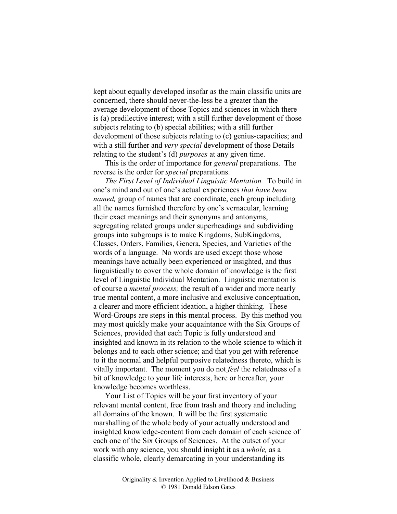kept about equally developed insofar as the main classific units are concerned, there should never-the-less be a greater than the average development of those Topics and sciences in which there is (a) predilective interest; with a still further development of those subjects relating to (b) special abilities; with a still further development of those subjects relating to (c) genius-capacities; and with a still further and *very special* development of those Details relating to the student's (d) *purposes* at any given time.

This is the order of importance for *general* preparations. The reverse is the order for *special* preparations.

*The First Level of Individual Linguistic Mentation.* To build in one's mind and out of one's actual experiences *that have been named*, group of names that are coordinate, each group including all the names furnished therefore by one's vernacular, learning their exact meanings and their synonyms and antonyms, segregating related groups under superheadings and subdividing groups into subgroups is to make Kingdoms, SubKingdoms, Classes, Orders, Families, Genera, Species, and Varieties of the words of a language. No words are used except those whose meanings have actually been experienced or insighted, and thus linguistically to cover the whole domain of knowledge is the first level of Linguistic Individual Mentation. Linguistic mentation is of course a *mental process;* the result of a wider and more nearly true mental content, a more inclusive and exclusive conceptuation, a clearer and more efficient ideation, a higher thinking. These Word-Groups are steps in this mental process. By this method you may most quickly make your acquaintance with the Six Groups of Sciences, provided that each Topic is fully understood and insighted and known in its relation to the whole science to which it belongs and to each other science; and that you get with reference to it the normal and helpful purposive relatedness thereto, which is vitally important. The moment you do not *feel* the relatedness of a bit of knowledge to your life interests, here or hereafter, your knowledge becomes worthless.

Your List of Topics will be your first inventory of your relevant mental content, free from trash and theory and including all domains of the known. It will be the first systematic marshalling of the whole body of your actually understood and insighted knowledge-content from each domain of each science of each one of the Six Groups of Sciences. At the outset of your work with any science, you should insight it as a *whole,* as a classific whole, clearly demarcating in your understanding its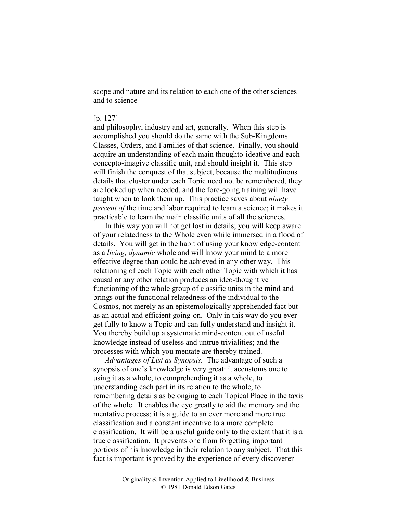scope and nature and its relation to each one of the other sciences and to science

## [p. 127]

and philosophy, industry and art, generally. When this step is accomplished you should do the same with the Sub-Kingdoms Classes, Orders, and Families of that science. Finally, you should acquire an understanding of each main thoughto-ideative and each concepto-imagive classific unit, and should insight it. This step will finish the conquest of that subject, because the multitudinous details that cluster under each Topic need not be remembered, they are looked up when needed, and the fore-going training will have taught when to look them up. This practice saves about *ninety percent of the time and labor required to learn a science; it makes it* practicable to learn the main classific units of all the sciences.

In this way you will not get lost in details; you will keep aware of your relatedness to the Whole even while immersed in a flood of details. You will get in the habit of using your knowledge-content as a *living, dynamic* whole and will know your mind to a more effective degree than could be achieved in any other way. This relationing of each Topic with each other Topic with which it has causal or any other relation produces an ideo-thoughtive functioning of the whole group of classific units in the mind and brings out the functional relatedness of the individual to the Cosmos, not merely as an epistemologically apprehended fact but as an actual and efficient going-on. Only in this way do you ever get fully to know a Topic and can fully understand and insight it. You thereby build up a systematic mind-content out of useful knowledge instead of useless and untrue trivialities; and the processes with which you mentate are thereby trained.

*Advantages of List as Synopsis.* The advantage of such a synopsis of one's knowledge is very great: it accustoms one to using it as a whole, to comprehending it as a whole, to understanding each part in its relation to the whole, to remembering details as belonging to each Topical Place in the taxis of the whole. It enables the eye greatly to aid the memory and the mentative process; it is a guide to an ever more and more true classification and a constant incentive to a more complete classification. It will be a useful guide only to the extent that it is a true classification. It prevents one from forgetting important portions of his knowledge in their relation to any subject. That this fact is important is proved by the experience of every discoverer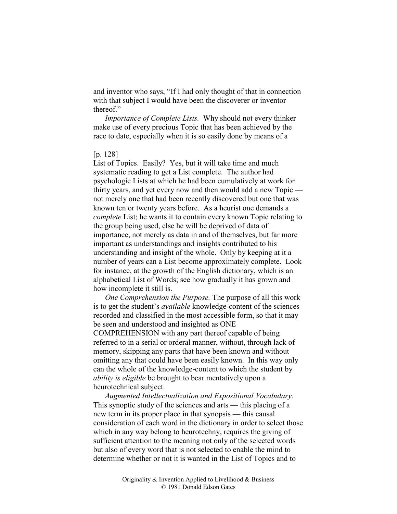and inventor who says, "If I had only thought of that in connection with that subject I would have been the discoverer or inventor thereof."

*Importance of Complete Lists.* Why should not every thinker make use of every precious Topic that has been achieved by the race to date, especially when it is so easily done by means of a

### [p. 128]

List of Topics. Easily? Yes, but it will take time and much systematic reading to get a List complete. The author had psychologic Lists at which he had been cumulatively at work for thirty years, and yet every now and then would add a new Topic not merely one that had been recently discovered but one that was known ten or twenty years before. As a heurist one demands a *complete* List; he wants it to contain every known Topic relating to the group being used, else he will be deprived of data of importance, not merely as data in and of themselves, but far more important as understandings and insights contributed to his understanding and insight of the whole. Only by keeping at it a number of years can a List become approximately complete. Look for instance, at the growth of the English dictionary, which is an alphabetical List of Words; see how gradually it has grown and how incomplete it still is.

*One Comprehension the Purpose.* The purpose of all this work is to get the student's *available* knowledge-content of the sciences recorded and classified in the most accessible form, so that it may be seen and understood and insighted as ONE COMPREHENSION with any part thereof capable of being referred to in a serial or orderal manner, without, through lack of memory, skipping any parts that have been known and without omitting any that could have been easily known. In this way only can the whole of the knowledge-content to which the student by *ability is eligible* be brought to bear mentatively upon a heurotechnical subject.

*Augmented Intellectualization and Expositional Vocabulary.*  This synoptic study of the sciences and arts — this placing of a new term in its proper place in that synopsis — this causal consideration of each word in the dictionary in order to select those which in any way belong to heurotechny, requires the giving of sufficient attention to the meaning not only of the selected words but also of every word that is not selected to enable the mind to determine whether or not it is wanted in the List of Topics and to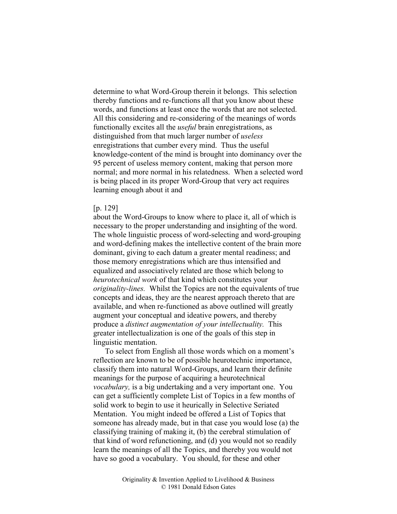determine to what Word-Group therein it belongs. This selection thereby functions and re-functions all that you know about these words, and functions at least once the words that are not selected. All this considering and re-considering of the meanings of words functionally excites all the *useful* brain enregistrations, as distinguished from that much larger number of *useless*  enregistrations that cumber every mind. Thus the useful knowledge-content of the mind is brought into dominancy over the 95 percent of useless memory content, making that person more normal; and more normal in his relatedness. When a selected word is being placed in its proper Word-Group that very act requires learning enough about it and

#### [p. 129]

about the Word-Groups to know where to place it, all of which is necessary to the proper understanding and insighting of the word. The whole linguistic process of word-selecting and word-grouping and word-defining makes the intellective content of the brain more dominant, giving to each datum a greater mental readiness; and those memory enregistrations which are thus intensified and equalized and associatively related are those which belong to *heurotechnical work* of that kind which constitutes your *originality-lines.* Whilst the Topics are not the equivalents of true concepts and ideas, they are the nearest approach thereto that are available, and when re-functioned as above outlined will greatly augment your conceptual and ideative powers, and thereby produce a *distinct augmentation of your intellectuality.* This greater intellectualization is one of the goals of this step in linguistic mentation.

To select from English all those words which on a moment's reflection are known to be of possible heurotechnic importance, classify them into natural Word-Groups, and learn their definite meanings for the purpose of acquiring a heurotechnical *vocabulary,* is a big undertaking and a very important one. You can get a sufficiently complete List of Topics in a few months of solid work to begin to use it heurically in Selective Seriated Mentation. You might indeed be offered a List of Topics that someone has already made, but in that case you would lose (a) the classifying training of making it, (b) the cerebral stimulation of that kind of word refunctioning, and (d) you would not so readily learn the meanings of all the Topics, and thereby you would not have so good a vocabulary. You should, for these and other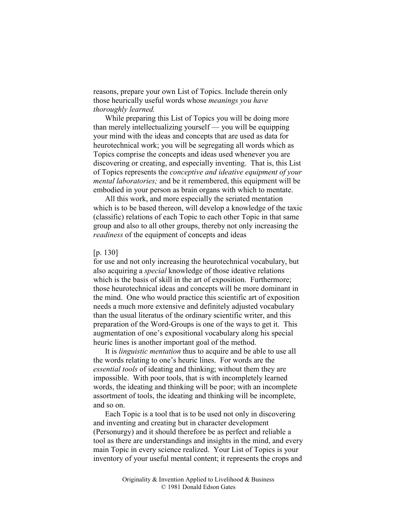reasons, prepare your own List of Topics. Include therein only those heurically useful words whose *meanings you have thoroughly learned.* 

While preparing this List of Topics you will be doing more than merely intellectualizing yourself — you will be equipping your mind with the ideas and concepts that are used as data for heurotechnical work; you will be segregating all words which as Topics comprise the concepts and ideas used whenever you are discovering or creating, and especially inventing. That is, this List of Topics represents the *conceptive and ideative equipment of your mental laboratories;* and be it remembered, this equipment will be embodied in your person as brain organs with which to mentate.

All this work, and more especially the seriated mentation which is to be based thereon, will develop a knowledge of the taxic (classific) relations of each Topic to each other Topic in that same group and also to all other groups, thereby not only increasing the *readiness* of the equipment of concepts and ideas

#### [p. 130]

for use and not only increasing the heurotechnical vocabulary, but also acquiring a *special* knowledge of those ideative relations which is the basis of skill in the art of exposition. Furthermore; those heurotechnical ideas and concepts will be more dominant in the mind. One who would practice this scientific art of exposition needs a much more extensive and definitely adjusted vocabulary than the usual literatus of the ordinary scientific writer, and this preparation of the Word-Groups is one of the ways to get it. This augmentation of one's expositional vocabulary along his special heuric lines is another important goal of the method.

It is *linguistic mentation* thus to acquire and be able to use all the words relating to one's heuric lines. For words are the *essential tools* of ideating and thinking; without them they are impossible. With poor tools, that is with incompletely learned words, the ideating and thinking will be poor; with an incomplete assortment of tools, the ideating and thinking will be incomplete, and so on.

Each Topic is a tool that is to be used not only in discovering and inventing and creating but in character development (Personurgy) and it should therefore be as perfect and reliable a tool as there are understandings and insights in the mind, and every main Topic in every science realized. Your List of Topics is your inventory of your useful mental content; it represents the crops and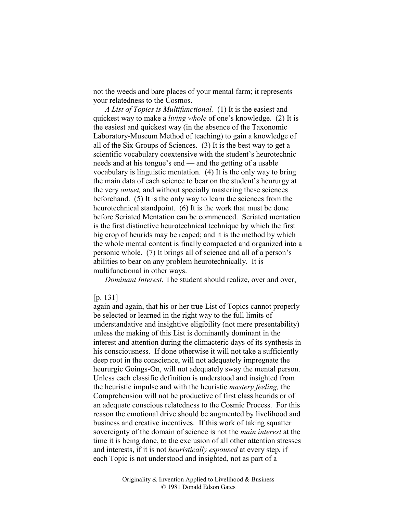not the weeds and bare places of your mental farm; it represents your relatedness to the Cosmos.

*A List of Topics is Multifunctional.* (1) It is the easiest and quickest way to make a *living whole* of one's knowledge. (2) It is the easiest and quickest way (in the absence of the Taxonomic Laboratory-Museum Method of teaching) to gain a knowledge of all of the Six Groups of Sciences. (3) It is the best way to get a scientific vocabulary coextensive with the student's heurotechnic needs and at his tongue's end — and the getting of a usable vocabulary is linguistic mentation. (4) It is the only way to bring the main data of each science to bear on the student's heururgy at the very *outset,* and without specially mastering these sciences beforehand. (5) It is the only way to learn the sciences from the heurotechnical standpoint. (6) It is the work that must be done before Seriated Mentation can be commenced. Seriated mentation is the first distinctive heurotechnical technique by which the first big crop of heurids may be reaped; and it is the method by which the whole mental content is finally compacted and organized into a personic whole. (7) It brings all of science and all of a person's abilities to bear on any problem heurotechnically. It is multifunctional in other ways.

*Dominant Interest.* The student should realize, over and over,

#### [p. 131]

again and again, that his or her true List of Topics cannot properly be selected or learned in the right way to the full limits of understandative and insightive eligibility (not mere presentability) unless the making of this List is dominantly dominant in the interest and attention during the climacteric days of its synthesis in his consciousness. If done otherwise it will not take a sufficiently deep root in the conscience, will not adequately impregnate the heururgic Goings-On, will not adequately sway the mental person. Unless each classific definition is understood and insighted from the heuristic impulse and with the heuristic *mastery feeling,* the Comprehension will not be productive of first class heurids or of an adequate conscious relatedness to the Cosmic Process. For this reason the emotional drive should be augmented by livelihood and business and creative incentives. If this work of taking squatter sovereignty of the domain of science is not the *main interest* at the time it is being done, to the exclusion of all other attention stresses and interests, if it is not *heuristically espoused* at every step, if each Topic is not understood and insighted, not as part of a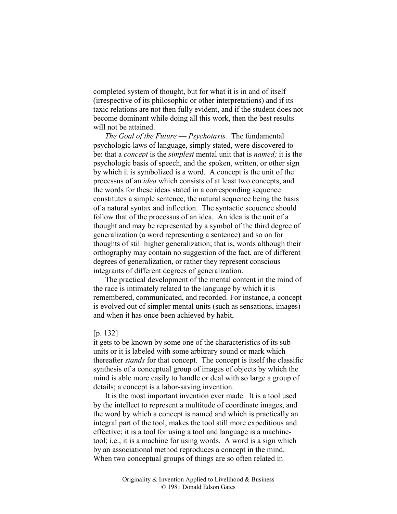completed system of thought, but for what it is in and of itself (irrespective of its philosophic or other interpretations) and if its taxic relations are not then fully evident, and if the student does not become dominant while doing all this work, then the best results will not be attained.

*The Goal of the Future* — *Psychotaxis.* The fundamental psychologic laws of language, simply stated, were discovered to be: that a *concept* is the *simplest* mental unit that is *named;* it is the psychologic basis of speech, and the spoken, written, or other sign by which it is symbolized is a word. A concept is the unit of the processus of an *idea* which consists of at least two concepts, and the words for these ideas stated in a corresponding sequence constitutes a simple sentence, the natural sequence being the basis of a natural syntax and inflection. The syntactic sequence should follow that of the processus of an idea. An idea is the unit of a thought and may be represented by a symbol of the third degree of generalization (a word representing a sentence) and so on for thoughts of still higher generalization; that is, words although their orthography may contain no suggestion of the fact, are of different degrees of generalization, or rather they represent conscious integrants of different degrees of generalization.

The practical development of the mental content in the mind of the race is intimately related to the language by which it is remembered, communicated, and recorded. For instance, a concept is evolved out of simpler mental units (such as sensations, images) and when it has once been achieved by habit,

#### [p. 132]

it gets to be known by some one of the characteristics of its subunits or it is labeled with some arbitrary sound or mark which thereafter *stands* for that concept. The concept is itself the classific synthesis of a conceptual group of images of objects by which the mind is able more easily to handle or deal with so large a group of details; a concept is a labor-saving invention.

It is the most important invention ever made. It is a tool used by the intellect to represent a multitude of coordinate images, and the word by which a concept is named and which is practically an integral part of the tool, makes the tool still more expeditious and effective; it is a tool for using a tool and language is a machinetool; i.e., it is a machine for using words. A word is a sign which by an associational method reproduces a concept in the mind. When two conceptual groups of things are so often related in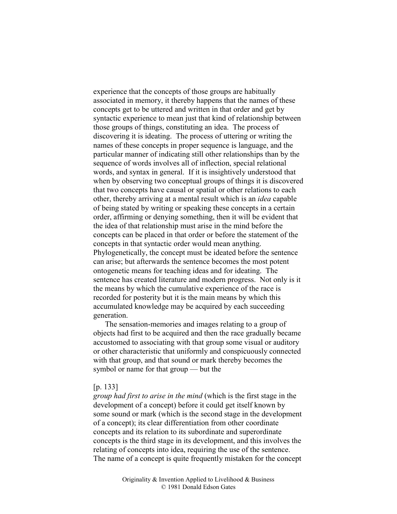experience that the concepts of those groups are habitually associated in memory, it thereby happens that the names of these concepts get to be uttered and written in that order and get by syntactic experience to mean just that kind of relationship between those groups of things, constituting an idea. The process of discovering it is ideating. The process of uttering or writing the names of these concepts in proper sequence is language, and the particular manner of indicating still other relationships than by the sequence of words involves all of inflection, special relational words, and syntax in general. If it is insightively understood that when by observing two conceptual groups of things it is discovered that two concepts have causal or spatial or other relations to each other, thereby arriving at a mental result which is an *idea* capable of being stated by writing or speaking these concepts in a certain order, affirming or denying something, then it will be evident that the idea of that relationship must arise in the mind before the concepts can be placed in that order or before the statement of the concepts in that syntactic order would mean anything. Phylogenetically, the concept must be ideated before the sentence can arise; but afterwards the sentence becomes the most potent ontogenetic means for teaching ideas and for ideating. The sentence has created literature and modern progress. Not only is it the means by which the cumulative experience of the race is recorded for posterity but it is the main means by which this accumulated knowledge may be acquired by each succeeding generation.

The sensation-memories and images relating to a group of objects had first to be acquired and then the race gradually became accustomed to associating with that group some visual or auditory or other characteristic that uniformly and conspicuously connected with that group, and that sound or mark thereby becomes the symbol or name for that group — but the

## [p. 133]

*group had first to arise in the mind* (which is the first stage in the development of a concept) before it could get itself known by some sound or mark (which is the second stage in the development of a concept); its clear differentiation from other coordinate concepts and its relation to its subordinate and superordinate concepts is the third stage in its development, and this involves the relating of concepts into idea, requiring the use of the sentence. The name of a concept is quite frequently mistaken for the concept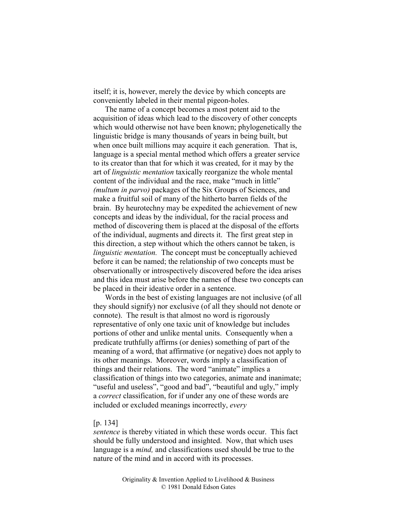itself; it is, however, merely the device by which concepts are conveniently labeled in their mental pigeon-holes.

The name of a concept becomes a most potent aid to the acquisition of ideas which lead to the discovery of other concepts which would otherwise not have been known; phylogenetically the linguistic bridge is many thousands of years in being built, but when once built millions may acquire it each generation. That is, language is a special mental method which offers a greater service to its creator than that for which it was created, for it may by the art of *linguistic mentation* taxically reorganize the whole mental content of the individual and the race, make "much in little" *(multum in parvo)* packages of the Six Groups of Sciences, and make a fruitful soil of many of the hitherto barren fields of the brain. By heurotechny may be expedited the achievement of new concepts and ideas by the individual, for the racial process and method of discovering them is placed at the disposal of the efforts of the individual, augments and directs it. The first great step in this direction, a step without which the others cannot be taken, is *linguistic mentation.* The concept must be conceptually achieved before it can be named; the relationship of two concepts must be observationally or introspectively discovered before the idea arises and this idea must arise before the names of these two concepts can be placed in their ideative order in a sentence.

Words in the best of existing languages are not inclusive (of all they should signify) nor exclusive (of all they should not denote or connote). The result is that almost no word is rigorously representative of only one taxic unit of knowledge but includes portions of other and unlike mental units. Consequently when a predicate truthfully affirms (or denies) something of part of the meaning of a word, that affirmative (or negative) does not apply to its other meanings. Moreover, words imply a classification of things and their relations. The word "animate" implies a classification of things into two categories, animate and inanimate; "useful and useless", "good and bad", "beautiful and ugly," imply a *correct* classification, for if under any one of these words are included or excluded meanings incorrectly, *every* 

#### [p. 134]

*sentence* is thereby vitiated in which these words occur. This fact should be fully understood and insighted. Now, that which uses language is a *mind,* and classifications used should be true to the nature of the mind and in accord with its processes.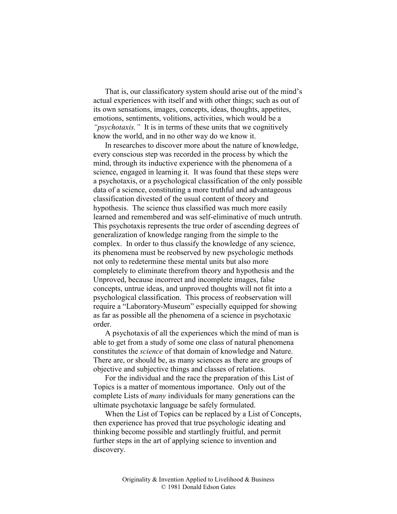That is, our classificatory system should arise out of the mind's actual experiences with itself and with other things; such as out of its own sensations, images, concepts, ideas, thoughts, appetites, emotions, sentiments, volitions, activities, which would be a *"psychotaxis."* It is in terms of these units that we cognitively know the world, and in no other way do we know it.

In researches to discover more about the nature of knowledge, every conscious step was recorded in the process by which the mind, through its inductive experience with the phenomena of a science, engaged in learning it. It was found that these steps were a psychotaxis, or a psychological classification of the only possible data of a science, constituting a more truthful and advantageous classification divested of the usual content of theory and hypothesis. The science thus classified was much more easily learned and remembered and was self-eliminative of much untruth. This psychotaxis represents the true order of ascending degrees of generalization of knowledge ranging from the simple to the complex. In order to thus classify the knowledge of any science, its phenomena must be reobserved by new psychologic methods not only to redetermine these mental units but also more completely to eliminate therefrom theory and hypothesis and the Unproved, because incorrect and incomplete images, false concepts, untrue ideas, and unproved thoughts will not fit into a psychological classification. This process of reobservation will require a "Laboratory-Museum" especially equipped for showing as far as possible all the phenomena of a science in psychotaxic order.

A psychotaxis of all the experiences which the mind of man is able to get from a study of some one class of natural phenomena constitutes the *science* of that domain of knowledge and Nature. There are, or should be, as many sciences as there are groups of objective and subjective things and classes of relations.

For the individual and the race the preparation of this List of Topics is a matter of momentous importance. Only out of the complete Lists of *many* individuals for many generations can the ultimate psychotaxic language be safely formulated.

When the List of Topics can be replaced by a List of Concepts, then experience has proved that true psychologic ideating and thinking become possible and startlingly fruitful, and permit further steps in the art of applying science to invention and discovery.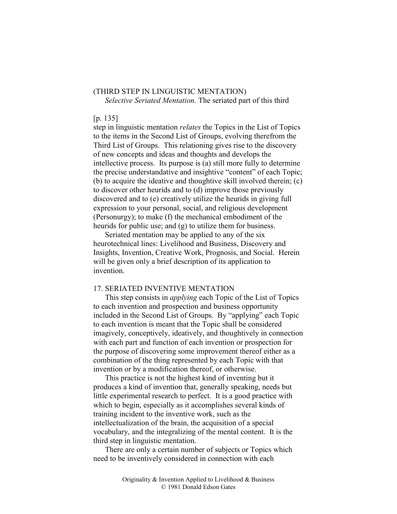## (THIRD STEP IN LINGUISTIC MENTATION) *Selective Seriated Mentation.* The seriated part of this third

## [p. 135]

step in linguistic mentation *relates* the Topics in the List of Topics to the items in the Second List of Groups, evolving therefrom the Third List of Groups. This relationing gives rise to the discovery of new concepts and ideas and thoughts and develops the intellective process. Its purpose is (a) still more fully to determine the precise understandative and insightive "content" of each Topic; (b) to acquire the ideative and thoughtive skill involved therein; (c) to discover other heurids and to (d) improve those previously discovered and to (e) creatively utilize the heurids in giving full expression to your personal, social, and religious development (Personurgy); to make (f) the mechanical embodiment of the heurids for public use; and (g) to utilize them for business.

Seriated mentation may be applied to any of the six heurotechnical lines: Livelihood and Business, Discovery and Insights, Invention, Creative Work, Prognosis, and Social. Herein will be given only a brief description of its application to invention.

## 17. SERIATED INVENTIVE MENTATION

This step consists in *applying* each Topic of the List of Topics to each invention and prospection and business opportunity included in the Second List of Groups. By "applying" each Topic to each invention is meant that the Topic shall be considered imagively, conceptively, ideatively, and thoughtively in connection with each part and function of each invention or prospection for the purpose of discovering some improvement thereof either as a combination of the thing represented by each Topic with that invention or by a modification thereof, or otherwise.

This practice is not the highest kind of inventing but it produces a kind of invention that, generally speaking, needs but little experimental research to perfect. It is a good practice with which to begin, especially as it accomplishes several kinds of training incident to the inventive work, such as the intellectualization of the brain, the acquisition of a special vocabulary, and the integralizing of the mental content. It is the third step in linguistic mentation.

There are only a certain number of subjects or Topics which need to be inventively considered in connection with each